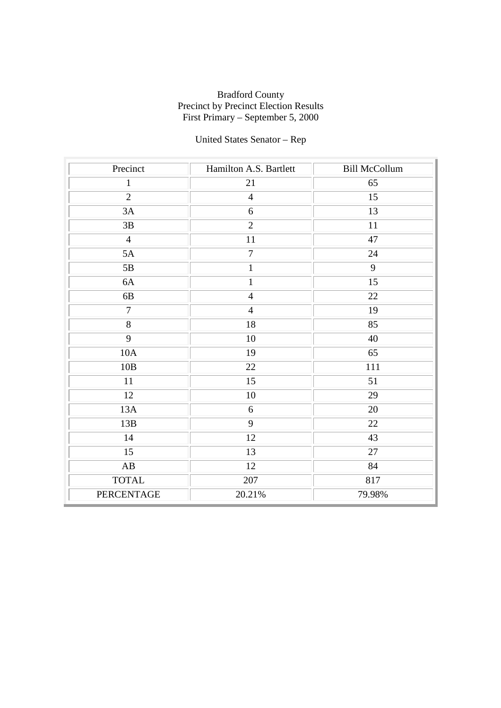# United States Senator – Rep

| Precinct               | Hamilton A.S. Bartlett | <b>Bill McCollum</b> |
|------------------------|------------------------|----------------------|
| $\mathbf{1}$           | 21                     | 65                   |
| $\overline{2}$         | $\overline{4}$         | 15                   |
| 3A                     | $6\,$                  | 13                   |
| 3B                     | $\overline{2}$         | 11                   |
| $\overline{4}$         | 11                     | 47                   |
| 5A                     | $\overline{7}$         | 24                   |
| 5B                     | $\mathbf{1}$           | 9                    |
| 6A                     | $\mathbf{1}$           | 15                   |
| 6B                     | $\overline{4}$         | 22                   |
| $\overline{7}$         | $\overline{4}$         | 19                   |
| $\overline{8}$         | $\overline{18}$        | 85                   |
| 9                      | 10                     | 40                   |
| 10A                    | 19                     | 65                   |
| $10B$                  | 22                     | 111                  |
| 11                     | 15                     | 51                   |
| 12                     | 10                     | 29                   |
| 13A                    | 6                      | 20                   |
| 13B                    | $\overline{9}$         | 22                   |
| 14                     | 12                     | 43                   |
| 15                     | 13                     | 27                   |
| $\mathbf{A}\mathbf{B}$ | 12                     | 84                   |
| <b>TOTAL</b>           | 207                    | 817                  |
| PERCENTAGE             | 20.21%                 | 79.98%               |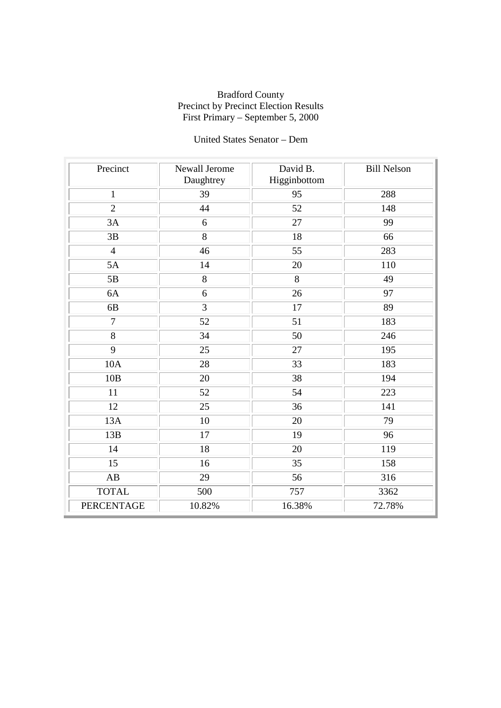# United States Senator – Dem

| Precinct               | Newall Jerome<br>Daughtrey | David B.<br>Higginbottom | <b>Bill Nelson</b> |
|------------------------|----------------------------|--------------------------|--------------------|
| $\mathbf{1}$           | 39                         | 95                       | 288                |
| $\overline{2}$         | 44                         | 52                       | 148                |
| 3A                     | 6                          | 27                       | 99                 |
| 3B                     | 8                          | 18                       | 66                 |
| $\overline{4}$         | 46                         | 55                       | 283                |
| 5A                     | 14                         | 20                       | 110                |
| 5B                     | 8                          | 8                        | 49                 |
| 6A                     | 6                          | 26                       | 97                 |
| 6B                     | 3                          | 17                       | 89                 |
| $\overline{7}$         | 52                         | 51                       | 183                |
| 8                      | 34                         | 50                       | 246                |
| $\overline{9}$         | 25                         | 27                       | 195                |
| 10A                    | 28                         | 33                       | 183                |
| 10B                    | 20                         | 38                       | 194                |
| 11                     | 52                         | 54                       | 223                |
| 12                     | 25                         | 36                       | 141                |
| 13A                    | 10                         | 20                       | 79                 |
| 13B                    | 17                         | 19                       | 96                 |
| 14                     | 18                         | 20                       | 119                |
| 15                     | 16                         | 35                       | 158                |
| $\mathbf{A}\mathbf{B}$ | 29                         | 56                       | 316                |
| <b>TOTAL</b>           | 500                        | 757                      | 3362               |
| <b>PERCENTAGE</b>      | 10.82%                     | 16.38%                   | 72.78%             |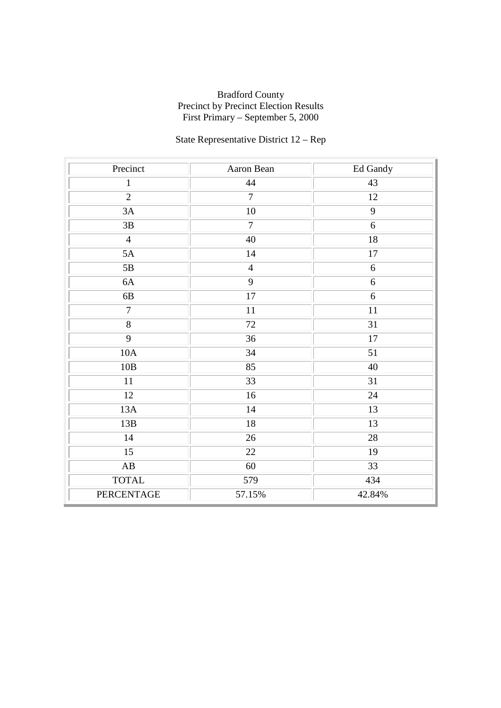# State Representative District 12 – Rep

| Precinct               | Aaron Bean      | Ed Gandy         |
|------------------------|-----------------|------------------|
| $\mathbf{1}$           | 44              | 43               |
| $\overline{2}$         | $\overline{7}$  | 12               |
| $3A$                   | $10\,$          | 9                |
| 3B                     | $\overline{7}$  | 6                |
| $\overline{4}$         | 40              | 18               |
| 5A                     | 14              | 17               |
| $5\mathrm{B}$          | $\overline{4}$  | $\boldsymbol{6}$ |
| 6A                     | 9               | 6                |
| 6B                     | 17              | 6                |
| $\overline{7}$         | 11              | 11               |
| $\overline{8}$         | $\overline{72}$ | $\overline{31}$  |
| $\overline{9}$         | 36              | $17\,$           |
| 10A                    | 34              | 51               |
| 10B                    | 85              | 40               |
| 11                     | 33              | 31               |
| 12                     | 16              | 24               |
| 13A                    | 14              | 13               |
| 13B                    | $18\,$          | 13               |
| 14                     | 26              | 28               |
| 15                     | 22              | 19               |
| $\mathbf{A}\mathbf{B}$ | 60              | 33               |
| <b>TOTAL</b>           | 579             | 434              |
| PERCENTAGE             | 57.15%          | 42.84%           |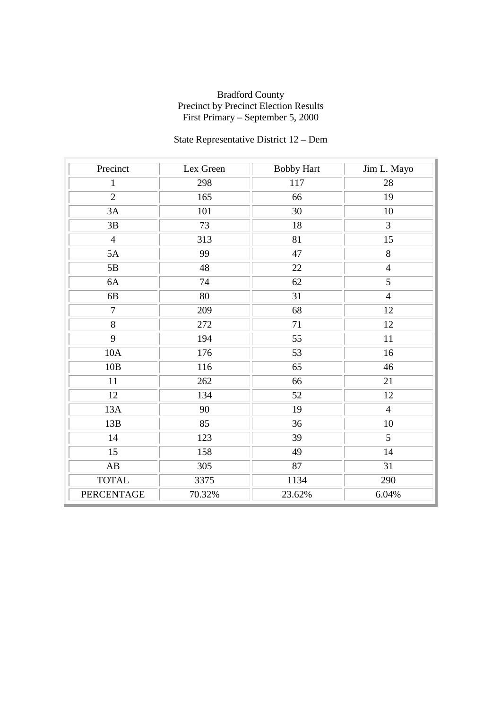# State Representative District 12 – Dem

| Precinct          | Lex Green | <b>Bobby Hart</b> | Jim L. Mayo    |
|-------------------|-----------|-------------------|----------------|
| $\mathbf{1}$      | 298       | 117               | 28             |
| $\overline{2}$    | 165       | 66                | 19             |
| 3A                | 101       | 30                | 10             |
| $3\mathrm{B}$     | 73        | 18                | 3              |
| $\overline{4}$    | 313       | 81                | 15             |
| 5A                | 99        | 47                | 8              |
| 5B                | 48        | 22                | $\overline{4}$ |
| 6A                | 74        | 62                | 5              |
| 6B                | 80        | 31                | $\overline{4}$ |
| $\overline{7}$    | 209       | 68                | 12             |
| $\overline{8}$    | 272       | 71                | 12             |
| 9                 | 194       | 55                | 11             |
| 10A               | 176       | 53                | 16             |
| 10B               | 116       | 65                | 46             |
| 11                | 262       | 66                | 21             |
| 12                | 134       | 52                | 12             |
| 13A               | 90        | 19                | $\overline{4}$ |
| 13B               | 85        | 36                | 10             |
| 14                | 123       | 39                | $\overline{5}$ |
| 15                | 158       | 49                | 14             |
| AB                | 305       | 87                | 31             |
| <b>TOTAL</b>      | 3375      | 1134              | 290            |
| <b>PERCENTAGE</b> | 70.32%    | 23.62%            | 6.04%          |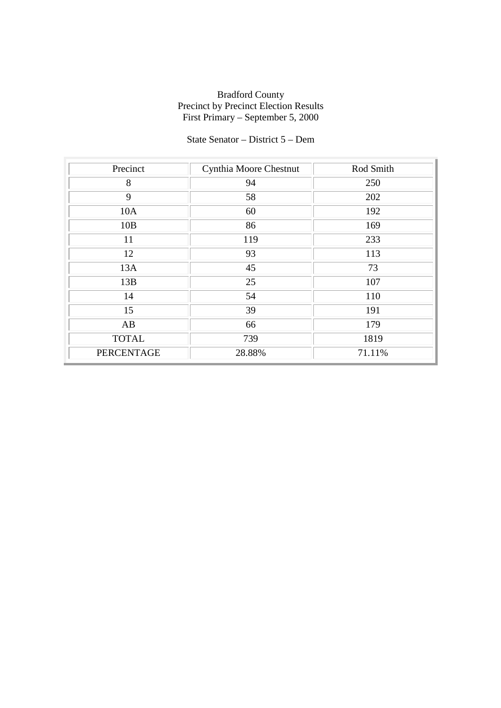# State Senator – District 5 – Dem

| Precinct          | Cynthia Moore Chestnut | Rod Smith |
|-------------------|------------------------|-----------|
| 8                 | 94                     | 250       |
| 9                 | 58                     | 202       |
| 10A               | 60                     | 192       |
| 10B               | 86                     | 169       |
| 11                | 119                    | 233       |
| 12                | 93                     | 113       |
| 13A               | 45                     | 73        |
| 13B               | 25                     | 107       |
| 14                | 54                     | 110       |
| 15                | 39                     | 191       |
| AB                | 66                     | 179       |
| <b>TOTAL</b>      | 739                    | 1819      |
| <b>PERCENTAGE</b> | 28.88%                 | 71.11%    |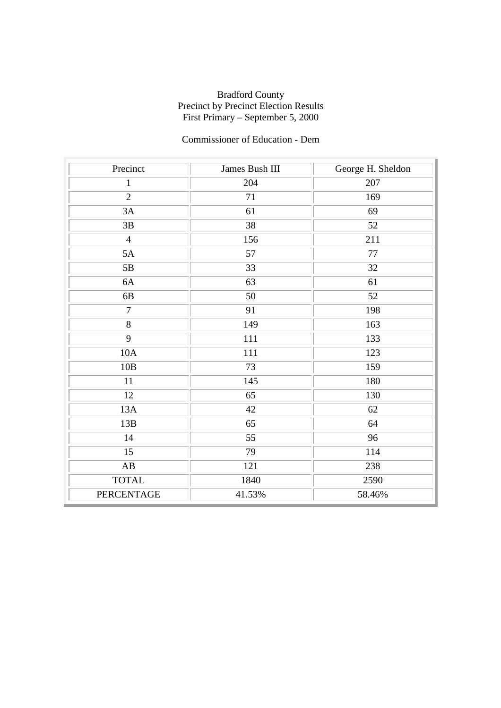# Commissioner of Education - Dem

| Precinct               | James Bush III | George H. Sheldon |
|------------------------|----------------|-------------------|
| $\mathbf{1}$           | 204            | 207               |
| $\overline{2}$         | 71             | 169               |
| 3A                     | 61             | 69                |
| 3B                     | 38             | 52                |
| $\overline{4}$         | 156            | 211               |
| 5A                     | 57             | 77                |
| $5\mathrm{B}$          | 33             | 32                |
| 6A                     | 63             | 61                |
| 6B                     | 50             | 52                |
| $\overline{7}$         | 91             | 198               |
| $\overline{8}$         | 149            | 163               |
| 9                      | 111            | 133               |
| 10A                    | 111            | 123               |
| 10B                    | 73             | 159               |
| $11\,$                 | 145            | 180               |
| 12                     | 65             | 130               |
| 13A                    | 42             | 62                |
| 13B                    | 65             | 64                |
| 14                     | 55             | 96                |
| 15                     | 79             | 114               |
| $\mathbf{A}\mathbf{B}$ | 121            | 238               |
| <b>TOTAL</b>           | 1840           | 2590              |
| <b>PERCENTAGE</b>      | 41.53%         | 58.46%            |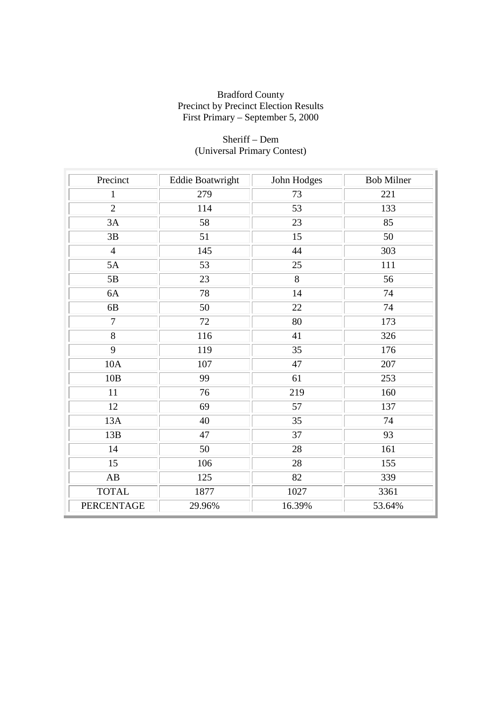| Precinct          | <b>Eddie Boatwright</b> | John Hodges     | <b>Bob Milner</b> |
|-------------------|-------------------------|-----------------|-------------------|
| $\mathbf{1}$      | 279                     | 73              | 221               |
| $\overline{2}$    | 114                     | 53              | 133               |
| 3A                | 58                      | 23              | 85                |
| 3B                | 51                      | 15              | 50                |
| $\overline{4}$    | 145                     | 44              | 303               |
| 5A                | 53                      | 25              | 111               |
| 5B                | 23                      | 8               | 56                |
| 6A                | 78                      | 14              | 74                |
| 6 <sub>B</sub>    | 50                      | 22              | 74                |
| $\overline{7}$    | 72                      | 80              | 173               |
| 8                 | 116                     | 41              | 326               |
| 9                 | 119                     | 35              | 176               |
| 10A               | 107                     | 47              | 207               |
| 10B               | 99                      | 61              | 253               |
| 11                | 76                      | 219             | 160               |
| 12                | 69                      | 57              | 137               |
| 13A               | 40                      | 35              | 74                |
| 13B               | 47                      | $\overline{37}$ | $\overline{93}$   |
| 14                | 50                      | 28              | 161               |
| 15                | 106                     | 28              | 155               |
| AB                | 125                     | 82              | 339               |
| <b>TOTAL</b>      | 1877                    | 1027            | 3361              |
| <b>PERCENTAGE</b> | 29.96%                  | 16.39%          | 53.64%            |

# Sheriff – Dem (Universal Primary Contest)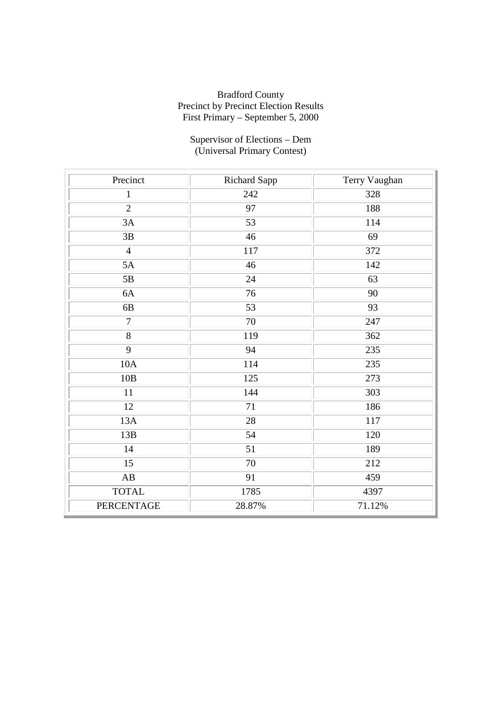#### Supervisor of Elections – Dem (Universal Primary Contest)

| Precinct               | Richard Sapp | Terry Vaughan |
|------------------------|--------------|---------------|
| $\mathbf{1}$           | 242          | 328           |
| $\overline{2}$         | 97           | 188           |
| 3A                     | 53           | 114           |
| 3B                     | 46           | 69            |
| $\overline{4}$         | 117          | 372           |
| 5A                     | 46           | 142           |
| $5\mathrm{B}$          | 24           | 63            |
| 6A                     | 76           | 90            |
| 6B                     | 53           | 93            |
| $\overline{7}$         | 70           | 247           |
| 8                      | 119          | 362           |
| $\overline{9}$         | 94           | 235           |
| 10A                    | 114          | 235           |
| 10B                    | 125          | 273           |
| 11                     | 144          | 303           |
| 12                     | 71           | 186           |
| 13A                    | 28           | 117           |
| 13B                    | 54           | 120           |
| 14                     | 51           | 189           |
| 15                     | 70           | 212           |
| $\mathbf{A}\mathbf{B}$ | 91           | 459           |
| <b>TOTAL</b>           | 1785         | 4397          |
| <b>PERCENTAGE</b>      | 28.87%       | 71.12%        |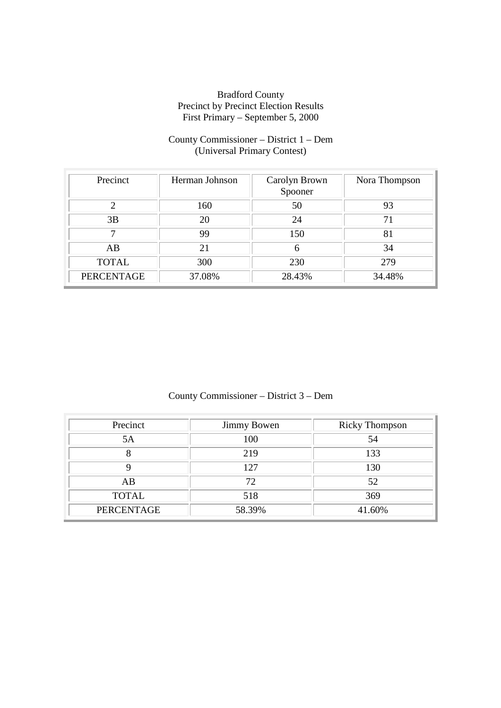# County Commissioner – District 1 – Dem (Universal Primary Contest)

| Precinct          | Herman Johnson | Carolyn Brown<br>Spooner | Nora Thompson |
|-------------------|----------------|--------------------------|---------------|
|                   | 160            | 50                       | 93            |
| 3B                | 20             | 24                       |               |
|                   | 99             | 150                      | 81            |
| AB                | 21             | 6                        | 34            |
| <b>TOTAL</b>      | 300            | 230                      | 279           |
| <b>PERCENTAGE</b> | 37.08%         | 28.43%                   | 34.48%        |

# County Commissioner – District 3 – Dem

| Precinct          | <b>Jimmy Bowen</b> | <b>Ricky Thompson</b> |
|-------------------|--------------------|-----------------------|
| 5A                | 100                | 54                    |
|                   | 219                | 133                   |
|                   | 127                | 130                   |
| AB                | 72                 | 52                    |
| <b>TOTAL</b>      | 518                | 369                   |
| <b>PERCENTAGE</b> | 58.39%             | 41.60%                |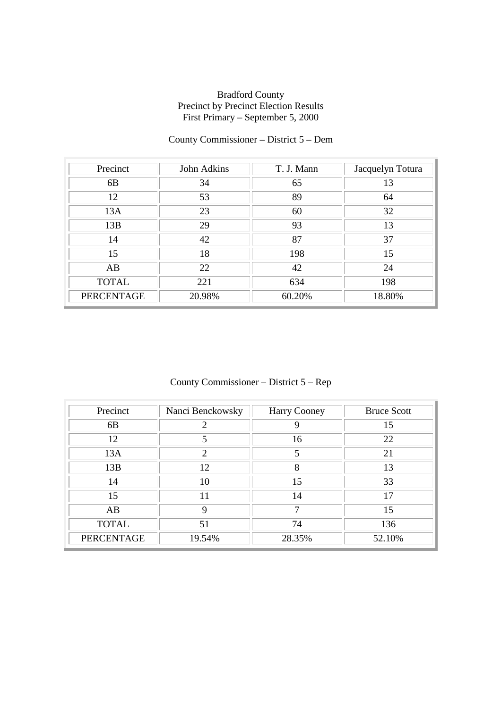# County Commissioner – District 5 – Dem

| Precinct          | John Adkins | T. J. Mann | Jacquelyn Totura |
|-------------------|-------------|------------|------------------|
| 6 <sub>B</sub>    | 34          | 65         | 13               |
| 12                | 53          | 89         | 64               |
| 13A               | 23          | 60         | 32               |
| 13B               | 29          | 93         | 13               |
| 14                | 42          | 87         | 37               |
| 15                | 18          | 198        | 15               |
| AB                | 22          | 42         | 24               |
| <b>TOTAL</b>      | 221         | 634        | 198              |
| <b>PERCENTAGE</b> | 20.98%      | 60.20%     | 18.80%           |

# County Commissioner – District 5 – Rep

| Precinct          | Nanci Benckowsky            | Harry Cooney | <b>Bruce Scott</b> |
|-------------------|-----------------------------|--------------|--------------------|
| 6 <sub>B</sub>    | $\mathcal{D}_{\mathcal{L}}$ | 9            | 15                 |
| 12                | 5                           | 16           | 22                 |
| 13A               | $\mathcal{D}_{\cdot}$       | 5            | 21                 |
| 13B               | 12                          | 8            | 13                 |
| 14                | 10                          | 15           | 33                 |
| 15                | 11                          | 14           | 17                 |
| AB                | 9                           | ⇁            | 15                 |
| <b>TOTAL</b>      | 51                          | 74           | 136                |
| <b>PERCENTAGE</b> | 19.54%                      | 28.35%       | 52.10%             |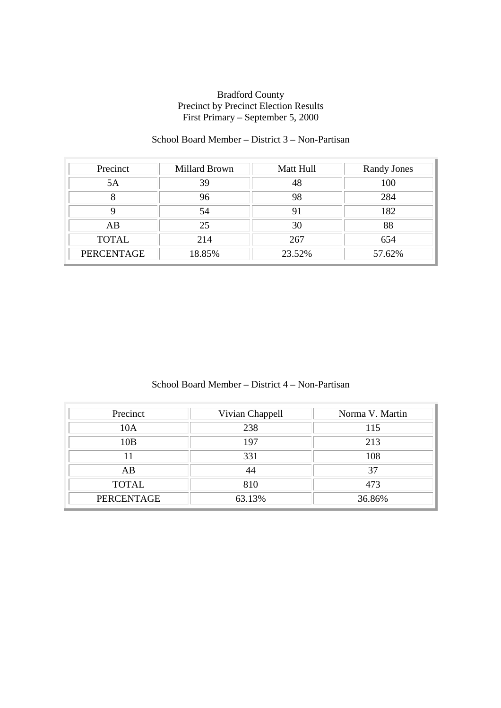# School Board Member – District 3 – Non-Partisan

| Precinct          | <b>Millard Brown</b> | Matt Hull | Randy Jones |
|-------------------|----------------------|-----------|-------------|
| 5A                | 39                   | 48        | 100         |
|                   | 96                   | 98        | 284         |
|                   | 54                   | 91        | 182         |
| AB                | 25                   | 30        | 88          |
| <b>TOTAL</b>      | 214                  | 267       | 654         |
| <b>PERCENTAGE</b> | 18.85%               | 23.52%    | 57.62%      |

# School Board Member – District 4 – Non-Partisan

| Precinct          | Vivian Chappell | Norma V. Martin |
|-------------------|-----------------|-----------------|
| 10A               | 238             | 115             |
| 10B               | 197             | 213             |
| 11                | 331             | 108             |
| AB                | 44              | 37              |
| <b>TOTAL</b>      | 810             | 473             |
| <b>PERCENTAGE</b> | 63.13%          | 36.86%          |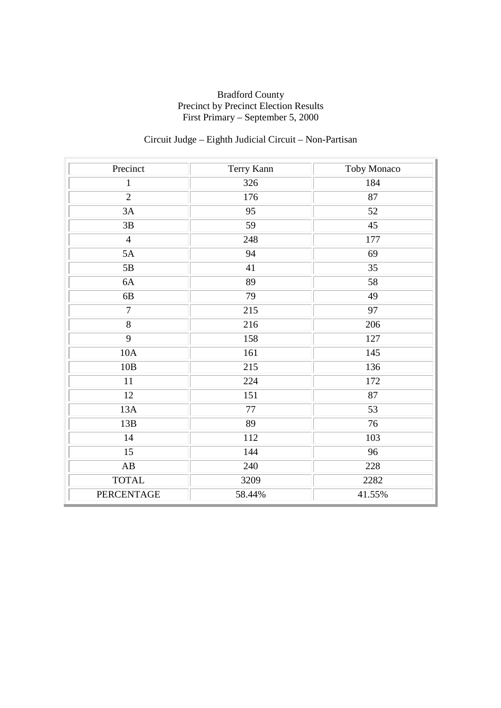# Circuit Judge – Eighth Judicial Circuit – Non-Partisan

| Precinct               | Terry Kann | Toby Monaco |
|------------------------|------------|-------------|
| $\mathbf{1}$           | 326        | 184         |
| $\overline{2}$         | 176        | 87          |
| 3A                     | 95         | 52          |
| 3B                     | 59         | 45          |
| $\overline{4}$         | 248        | 177         |
| 5A                     | 94         | 69          |
| 5B                     | 41         | 35          |
| 6A                     | 89         | 58          |
| $6B$                   | 79         | 49          |
| $\overline{7}$         | 215        | 97          |
| $\overline{8}$         | 216        | 206         |
| 9                      | 158        | 127         |
| 10A                    | 161        | 145         |
| 10B                    | 215        | 136         |
| 11                     | 224        | 172         |
| 12                     | 151        | 87          |
| 13A                    | 77         | 53          |
| 13B                    | 89         | 76          |
| 14                     | 112        | 103         |
| 15                     | 144        | 96          |
| $\mathbf{A}\mathbf{B}$ | 240        | 228         |
| <b>TOTAL</b>           | 3209       | 2282        |
| <b>PERCENTAGE</b>      | 58.44%     | 41.55%      |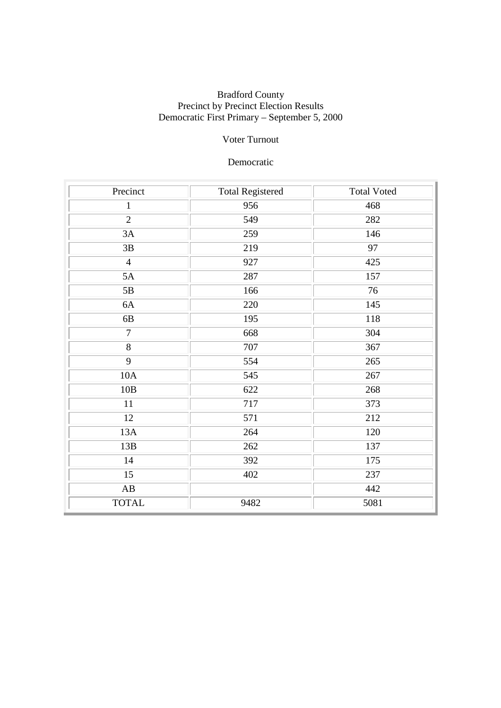# Voter Turnout

### Democratic

| Precinct               | <b>Total Registered</b> | <b>Total Voted</b> |
|------------------------|-------------------------|--------------------|
| $\mathbf{1}$           | 956                     | 468                |
| $\overline{2}$         | 549                     | 282                |
| 3A                     | 259                     | 146                |
| 3B                     | 219                     | $\overline{97}$    |
| $\overline{4}$         | 927                     | 425                |
| 5A                     | 287                     | 157                |
| 5B                     | 166                     | 76                 |
| 6A                     | 220                     | 145                |
| 6B                     | 195                     | 118                |
| $\overline{7}$         | 668                     | 304                |
| $\overline{8}$         | 707                     | 367                |
| 9                      | 554                     | 265                |
| 10A                    | 545                     | 267                |
| 10B                    | 622                     | 268                |
| 11                     | 717                     | 373                |
| 12                     | 571                     | 212                |
| 13A                    | 264                     | 120                |
| 13B                    | 262                     | 137                |
| 14                     | 392                     | 175                |
| 15                     | 402                     | 237                |
| $\mathbf{A}\mathbf{B}$ |                         | 442                |
| <b>TOTAL</b>           | 9482                    | 5081               |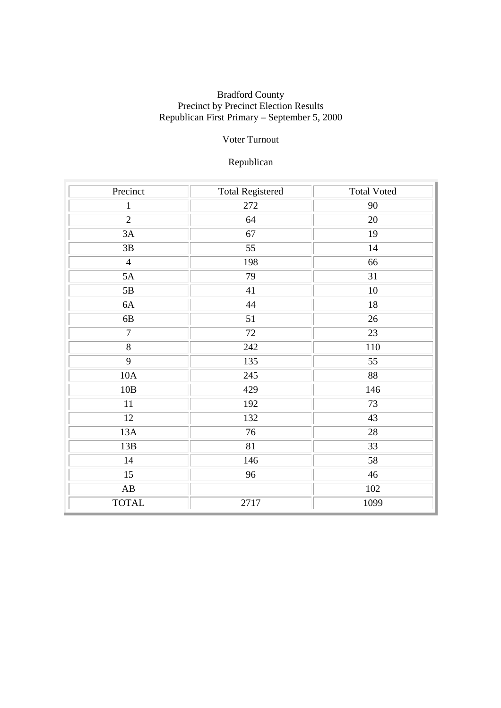# Voter Turnout

# Republican

| Precinct               | <b>Total Registered</b> | <b>Total Voted</b> |
|------------------------|-------------------------|--------------------|
| $\mathbf{1}$           | 272                     | 90                 |
| $\overline{2}$         | 64                      | 20                 |
| 3A                     | 67                      | 19                 |
| $3\mathrm{B}$          | 55                      | 14                 |
| $\overline{4}$         | 198                     | 66                 |
| 5A                     | 79                      | 31                 |
| 5B                     | 41                      | 10                 |
| 6A                     | 44                      | $18\,$             |
| 6B                     | 51                      | $26\,$             |
| $\overline{7}$         | 72                      | 23                 |
| $\overline{8}$         | 242                     | 110                |
| $\overline{9}$         | 135                     | 55                 |
| $10A$                  | 245                     | 88                 |
| 10B                    | 429                     | 146                |
| 11                     | 192                     | 73                 |
| 12                     | 132                     | 43                 |
| 13A                    | 76                      | 28                 |
| 13B                    | 81                      | 33                 |
| 14                     | 146                     | 58                 |
| 15                     | 96                      | 46                 |
| $\mathbf{A}\mathbf{B}$ |                         | 102                |
| <b>TOTAL</b>           | 2717                    | 1099               |